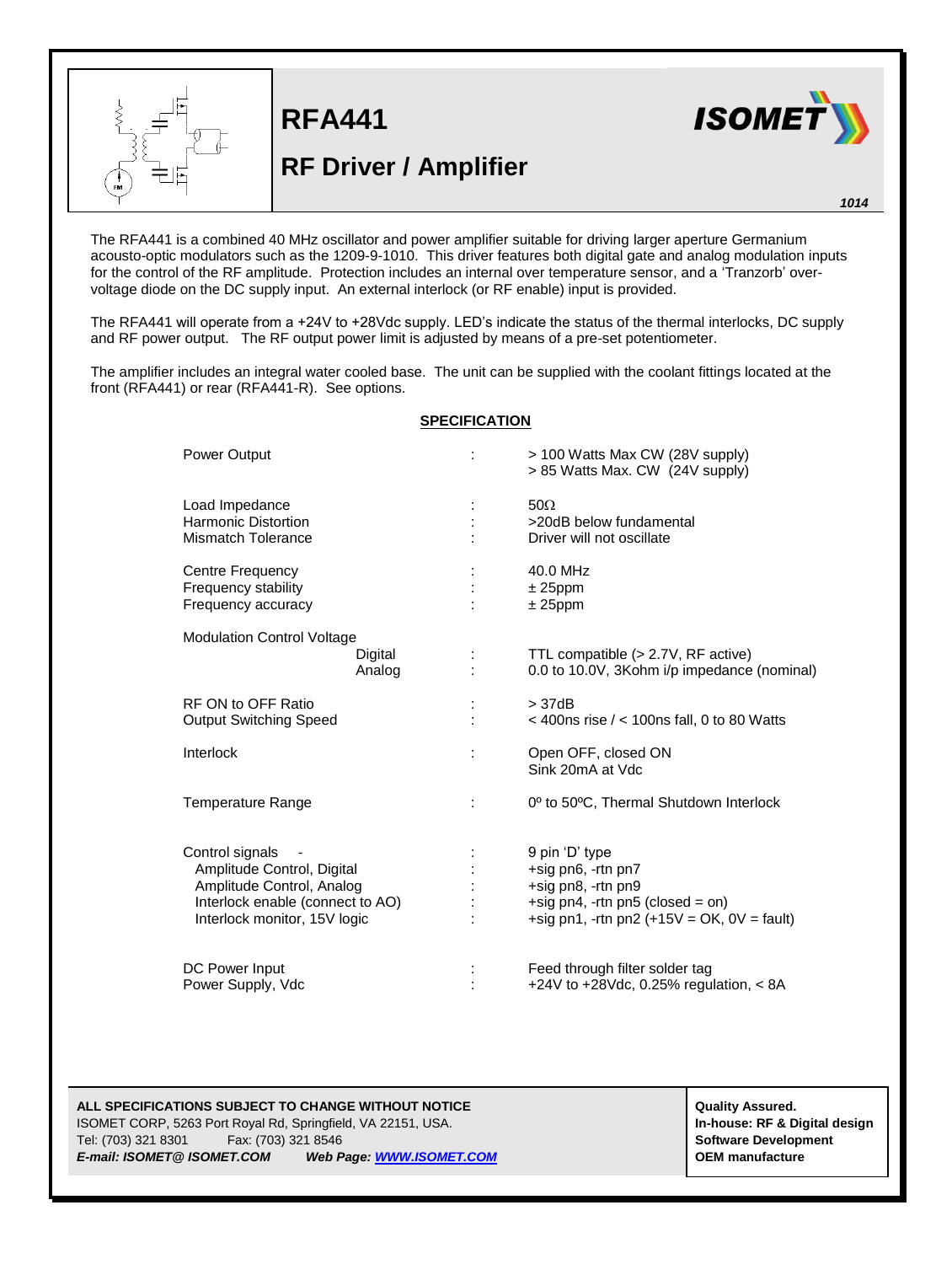

**RF Driver / Amplifier**

**RFA441**



*1014*

The RFA441 is a combined 40 MHz oscillator and power amplifier suitable for driving larger aperture Germanium acousto-optic modulators such as the 1209-9-1010. This driver features both digital gate and analog modulation inputs for the control of the RF amplitude. Protection includes an internal over temperature sensor, and a 'Tranzorb' overvoltage diode on the DC supply input. An external interlock (or RF enable) input is provided.

The RFA441 will operate from a +24V to +28Vdc supply. LED's indicate the status of the thermal interlocks, DC supply and RF power output. The RF output power limit is adjusted by means of a pre-set potentiometer.

The amplifier includes an integral water cooled base. The unit can be supplied with the coolant fittings located at the front (RFA441) or rear (RFA441-R). See options.

## **SPECIFICATION**

| Power Output                                                                                                                                   | ÷              | > 100 Watts Max CW (28V supply)<br>> 85 Watts Max. CW (24V supply)                                                                             |
|------------------------------------------------------------------------------------------------------------------------------------------------|----------------|------------------------------------------------------------------------------------------------------------------------------------------------|
| Load Impedance<br><b>Harmonic Distortion</b><br>Mismatch Tolerance                                                                             |                | $50\Omega$<br>>20dB below fundamental<br>Driver will not oscillate                                                                             |
| Centre Frequency<br>Frequency stability<br>Frequency accuracy                                                                                  |                | 40.0 MHz<br>$± 25$ ppm<br>$± 25$ ppm                                                                                                           |
| <b>Modulation Control Voltage</b><br>Digital<br>Analog                                                                                         |                | TTL compatible (> 2.7V, RF active)<br>0.0 to 10.0V, 3Kohm i/p impedance (nominal)                                                              |
| RF ON to OFF Ratio<br><b>Output Switching Speed</b>                                                                                            |                | >37dB<br>$<$ 400ns rise $/$ < 100ns fall, 0 to 80 Watts                                                                                        |
| Interlock                                                                                                                                      | $\ddot{\cdot}$ | Open OFF, closed ON<br>Sink 20mA at Vdc                                                                                                        |
| <b>Temperature Range</b>                                                                                                                       | ÷              | 0 <sup>o</sup> to 50°C, Thermal Shutdown Interlock                                                                                             |
| Control signals<br>Amplitude Control, Digital<br>Amplitude Control, Analog<br>Interlock enable (connect to AO)<br>Interlock monitor, 15V logic |                | 9 pin 'D' type<br>+sig pn6, -rtn pn7<br>+sig pn8, -rtn pn9<br>+sig pn4, -rtn pn5 (closed = on)<br>+sig pn1, -rtn pn2 $(+15V = OK, 0V = fault)$ |
| DC Power Input<br>Power Supply, Vdc                                                                                                            |                | Feed through filter solder tag<br>+24V to +28Vdc, 0.25% regulation, $< 8A$                                                                     |

## **ALL SPECIFICATIONS SUBJECT TO CHANGE WITHOUT NOTICE ALL SPECIFICATIONS SUBJECT TO CHANGE WITHOUT NOTICE**

ISOMET CORP, 5263 Port Royal Rd, Springfield, VA 22151, USA. **In-house: RF & Digital design** Tel: (703) 321 8301 Fax: (703) 321 8546 **Software Development** *E-mail: ISOMET@ ISOMET.COM Web Page[: WWW.ISOMET.COM](http://www.isomet.com/)* **OEM manufacture**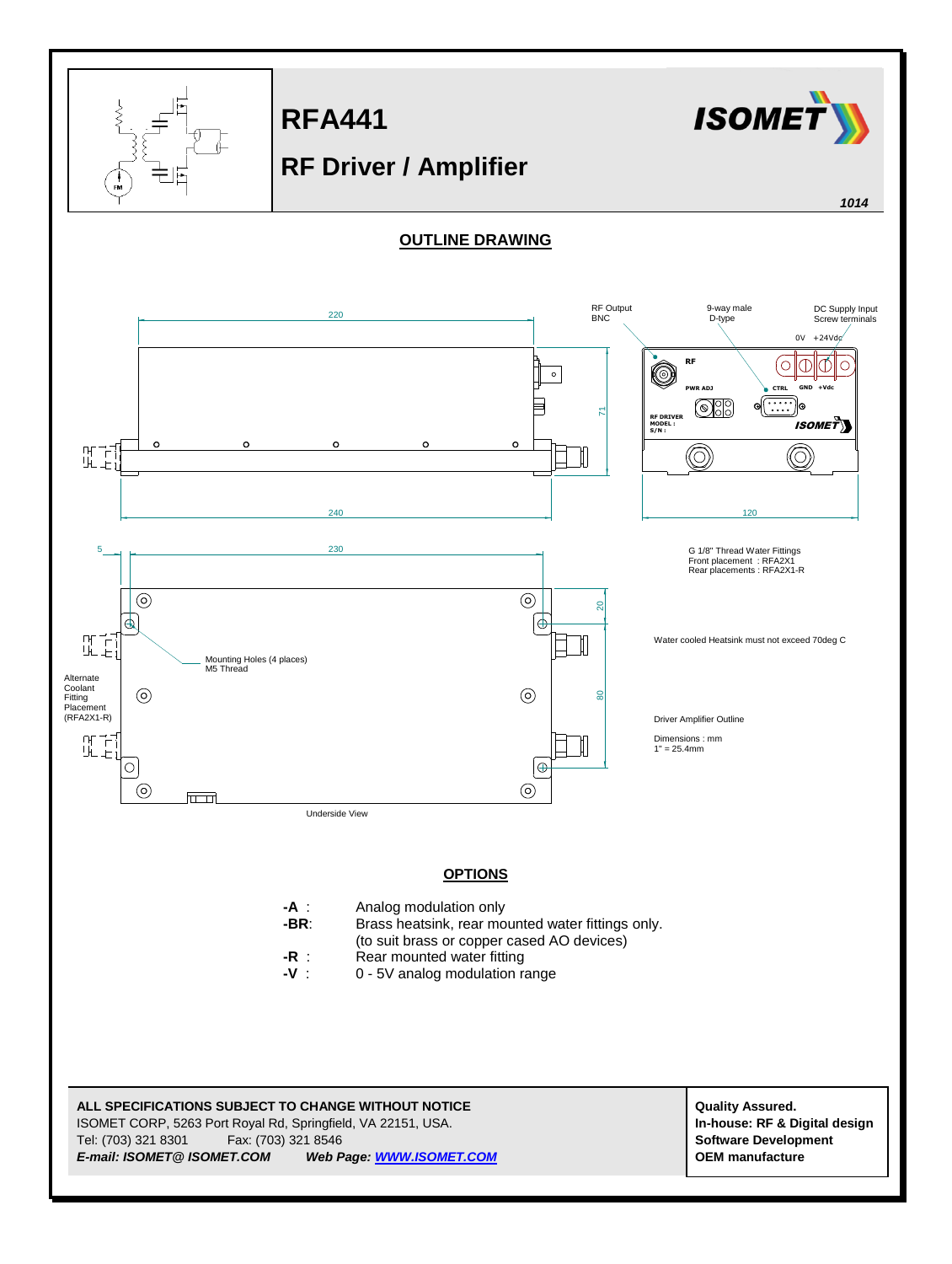